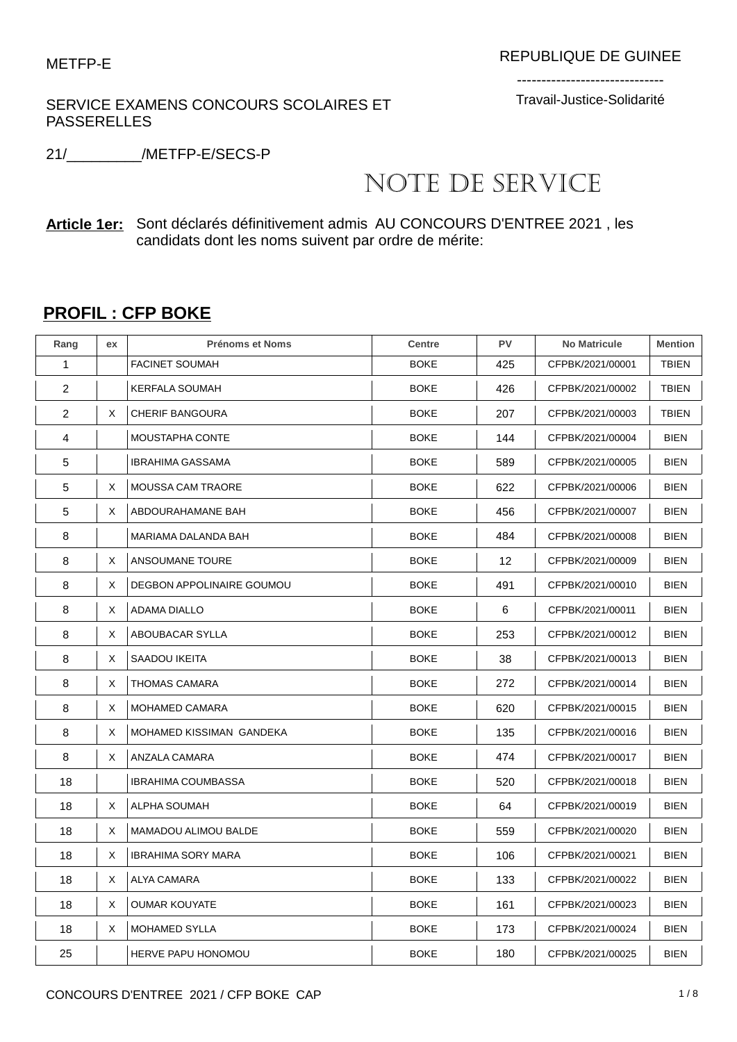## SERVICE EXAMENS CONCOURS SCOLAIRES ET PASSERELLES

------------------------------ Travail-Justice-Solidarité

21/\_\_\_\_\_\_\_\_\_/METFP-E/SECS-P

## NOTE DE SERVICE

## **Article 1er:** Sont déclarés définitivement admis AU CONCOURS D'ENTREE 2021 , les candidats dont les noms suivent par ordre de mérite:

## **PROFIL : CFP BOKE**

| Rang | ex | <b>Prénoms et Noms</b>    | <b>Centre</b> | PV  | <b>No Matricule</b> | <b>Mention</b> |
|------|----|---------------------------|---------------|-----|---------------------|----------------|
| 1    |    | <b>FACINET SOUMAH</b>     | <b>BOKE</b>   | 425 | CFPBK/2021/00001    | <b>TBIEN</b>   |
| 2    |    | <b>KERFALA SOUMAH</b>     | <b>BOKE</b>   | 426 | CFPBK/2021/00002    | <b>TBIEN</b>   |
| 2    | X  | <b>CHERIF BANGOURA</b>    | <b>BOKE</b>   | 207 | CFPBK/2021/00003    | TBIEN          |
| 4    |    | MOUSTAPHA CONTE           | <b>BOKE</b>   | 144 | CFPBK/2021/00004    | <b>BIEN</b>    |
| 5    |    | <b>IBRAHIMA GASSAMA</b>   | <b>BOKE</b>   | 589 | CFPBK/2021/00005    | <b>BIEN</b>    |
| 5    | X  | <b>MOUSSA CAM TRAORE</b>  | <b>BOKE</b>   | 622 | CFPBK/2021/00006    | <b>BIEN</b>    |
| 5    | X  | ABDOURAHAMANE BAH         | <b>BOKE</b>   | 456 | CFPBK/2021/00007    | <b>BIEN</b>    |
| 8    |    | MARIAMA DALANDA BAH       | <b>BOKE</b>   | 484 | CFPBK/2021/00008    | <b>BIEN</b>    |
| 8    | Χ  | ANSOUMANE TOURE           | <b>BOKE</b>   | 12  | CFPBK/2021/00009    | <b>BIEN</b>    |
| 8    | X  | DEGBON APPOLINAIRE GOUMOU | <b>BOKE</b>   | 491 | CFPBK/2021/00010    | <b>BIEN</b>    |
| 8    | Χ  | ADAMA DIALLO              | <b>BOKE</b>   | 6   | CFPBK/2021/00011    | <b>BIEN</b>    |
| 8    | Χ  | ABOUBACAR SYLLA           | <b>BOKE</b>   | 253 | CFPBK/2021/00012    | <b>BIEN</b>    |
| 8    | Χ  | SAADOU IKEITA             | <b>BOKE</b>   | 38  | CFPBK/2021/00013    | <b>BIEN</b>    |
| 8    | X  | THOMAS CAMARA             | <b>BOKE</b>   | 272 | CFPBK/2021/00014    | <b>BIEN</b>    |
| 8    | X  | <b>MOHAMED CAMARA</b>     | <b>BOKE</b>   | 620 | CFPBK/2021/00015    | <b>BIEN</b>    |
| 8    | Χ  | MOHAMED KISSIMAN GANDEKA  | <b>BOKE</b>   | 135 | CFPBK/2021/00016    | <b>BIEN</b>    |
| 8    | Χ  | ANZALA CAMARA             | <b>BOKE</b>   | 474 | CFPBK/2021/00017    | <b>BIEN</b>    |
| 18   |    | <b>IBRAHIMA COUMBASSA</b> | <b>BOKE</b>   | 520 | CFPBK/2021/00018    | <b>BIEN</b>    |
| 18   | X  | ALPHA SOUMAH              | <b>BOKE</b>   | 64  | CFPBK/2021/00019    | <b>BIEN</b>    |
| 18   | X  | MAMADOU ALIMOU BALDE      | <b>BOKE</b>   | 559 | CFPBK/2021/00020    | <b>BIEN</b>    |
| 18   | X  | <b>IBRAHIMA SORY MARA</b> | <b>BOKE</b>   | 106 | CFPBK/2021/00021    | <b>BIEN</b>    |
| 18   | Χ  | ALYA CAMARA               | <b>BOKE</b>   | 133 | CFPBK/2021/00022    | <b>BIEN</b>    |
| 18   | Χ  | <b>OUMAR KOUYATE</b>      | <b>BOKE</b>   | 161 | CFPBK/2021/00023    | <b>BIEN</b>    |
| 18   | Χ  | <b>MOHAMED SYLLA</b>      | <b>BOKE</b>   | 173 | CFPBK/2021/00024    | <b>BIEN</b>    |
| 25   |    | <b>HERVE PAPU HONOMOU</b> | <b>BOKE</b>   | 180 | CFPBK/2021/00025    | <b>BIEN</b>    |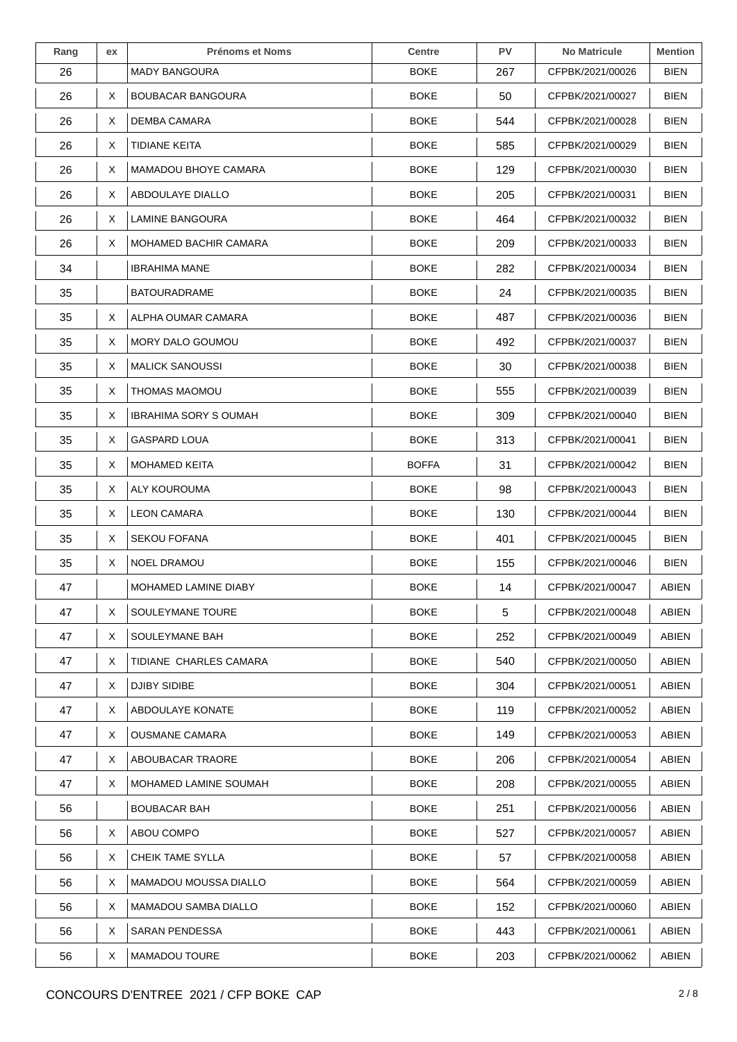| Rang | ex | <b>Prénoms et Noms</b>       | <b>Centre</b> | <b>PV</b> | <b>No Matricule</b> | <b>Mention</b> |
|------|----|------------------------------|---------------|-----------|---------------------|----------------|
| 26   |    | <b>MADY BANGOURA</b>         | <b>BOKE</b>   | 267       | CFPBK/2021/00026    | <b>BIEN</b>    |
| 26   | X  | <b>BOUBACAR BANGOURA</b>     | <b>BOKE</b>   | 50        | CFPBK/2021/00027    | <b>BIEN</b>    |
| 26   | X  | DEMBA CAMARA                 | BOKE          | 544       | CFPBK/2021/00028    | BIEN           |
| 26   | X  | TIDIANE KEITA                | <b>BOKE</b>   | 585       | CFPBK/2021/00029    | BIEN           |
| 26   | X  | MAMADOU BHOYE CAMARA         | <b>BOKE</b>   | 129       | CFPBK/2021/00030    | <b>BIEN</b>    |
| 26   | X  | ABDOULAYE DIALLO             | <b>BOKE</b>   | 205       | CFPBK/2021/00031    | <b>BIEN</b>    |
| 26   | X  | LAMINE BANGOURA              | <b>BOKE</b>   | 464       | CFPBK/2021/00032    | <b>BIEN</b>    |
| 26   | X. | MOHAMED BACHIR CAMARA        | BOKE          | 209       | CFPBK/2021/00033    | BIEN           |
| 34   |    | <b>IBRAHIMA MANE</b>         | <b>BOKE</b>   | 282       | CFPBK/2021/00034    | BIEN           |
| 35   |    | <b>BATOURADRAME</b>          | <b>BOKE</b>   | 24        | CFPBK/2021/00035    | <b>BIEN</b>    |
| 35   | X  | ALPHA OUMAR CAMARA           | BOKE          | 487       | CFPBK/2021/00036    | <b>BIEN</b>    |
| 35   | X  | MORY DALO GOUMOU             | <b>BOKE</b>   | 492       | CFPBK/2021/00037    | BIEN           |
| 35   | X  | <b>MALICK SANOUSSI</b>       | <b>BOKE</b>   | 30        | CFPBK/2021/00038    | <b>BIEN</b>    |
| 35   | X  | THOMAS MAOMOU                | <b>BOKE</b>   | 555       | CFPBK/2021/00039    | <b>BIEN</b>    |
| 35   | X  | <b>IBRAHIMA SORY S OUMAH</b> | <b>BOKE</b>   | 309       | CFPBK/2021/00040    | <b>BIEN</b>    |
| 35   | X  | <b>GASPARD LOUA</b>          | <b>BOKE</b>   | 313       | CFPBK/2021/00041    | <b>BIEN</b>    |
| 35   | X  | <b>MOHAMED KEITA</b>         | <b>BOFFA</b>  | 31        | CFPBK/2021/00042    | BIEN           |
| 35   | X  | ALY KOUROUMA                 | <b>BOKE</b>   | 98        | CFPBK/2021/00043    | <b>BIEN</b>    |
| 35   | X  | <b>LEON CAMARA</b>           | <b>BOKE</b>   | 130       | CFPBK/2021/00044    | <b>BIEN</b>    |
| 35   | X  | <b>SEKOU FOFANA</b>          | <b>BOKE</b>   | 401       | CFPBK/2021/00045    | <b>BIEN</b>    |
| 35   | X  | <b>NOEL DRAMOU</b>           | <b>BOKE</b>   | 155       | CFPBK/2021/00046    | BIEN           |
| 47   |    | MOHAMED LAMINE DIABY         | <b>BOKE</b>   | 14        | CFPBK/2021/00047    | ABIEN          |
| 47   | X  | SOULEYMANE TOURE             | <b>BOKE</b>   | 5         | CFPBK/2021/00048    | ABIEN          |
| 47   | X. | SOULEYMANE BAH               | BOKE          | 252       | CFPBK/2021/00049    | ABIEN          |
| 47   | X  | TIDIANE CHARLES CAMARA       | <b>BOKE</b>   | 540       | CFPBK/2021/00050    | ABIEN          |
| 47   | X  | <b>DJIBY SIDIBE</b>          | <b>BOKE</b>   | 304       | CFPBK/2021/00051    | ABIEN          |
| 47   | X. | ABDOULAYE KONATE             | BOKE          | 119       | CFPBK/2021/00052    | ABIEN          |
| 47   | X  | <b>OUSMANE CAMARA</b>        | BOKE          | 149       | CFPBK/2021/00053    | ABIEN          |
| 47   | X  | ABOUBACAR TRAORE             | <b>BOKE</b>   | 206       | CFPBK/2021/00054    | ABIEN          |
| 47   | X. | MOHAMED LAMINE SOUMAH        | BOKE          | 208       | CFPBK/2021/00055    | ABIEN          |
| 56   |    | <b>BOUBACAR BAH</b>          | BOKE          | 251       | CFPBK/2021/00056    | <b>ABIEN</b>   |
| 56   | X  | ABOU COMPO                   | BOKE          | 527       | CFPBK/2021/00057    | ABIEN          |
| 56   | X  | CHEIK TAME SYLLA             | <b>BOKE</b>   | 57        | CFPBK/2021/00058    | ABIEN          |
| 56   | X  | MAMADOU MOUSSA DIALLO        | BOKE          | 564       | CFPBK/2021/00059    | <b>ABIEN</b>   |
| 56   | X  | <b>MAMADOU SAMBA DIALLO</b>  | <b>BOKE</b>   | 152       | CFPBK/2021/00060    | ABIEN          |
| 56   | X  | <b>SARAN PENDESSA</b>        | <b>BOKE</b>   | 443       | CFPBK/2021/00061    | ABIEN          |
| 56   | X  | <b>MAMADOU TOURE</b>         | <b>BOKE</b>   | 203       | CFPBK/2021/00062    | ABIEN          |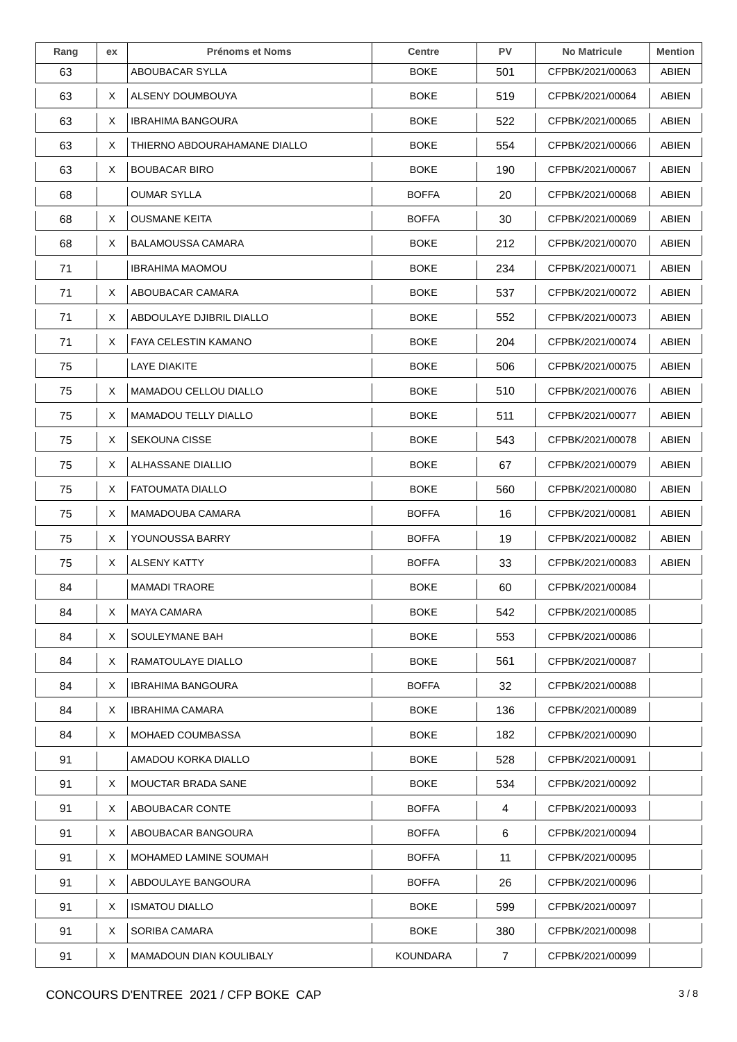| Rang | ex | <b>Prénoms et Noms</b>         | <b>Centre</b>   | PV  | <b>No Matricule</b> | <b>Mention</b> |
|------|----|--------------------------------|-----------------|-----|---------------------|----------------|
| 63   |    | ABOUBACAR SYLLA                | BOKE            | 501 | CFPBK/2021/00063    | ABIEN          |
| 63   | X. | ALSENY DOUMBOUYA               | BOKE            | 519 | CFPBK/2021/00064    | ABIEN          |
| 63   | X  | <b>IBRAHIMA BANGOURA</b>       | BOKE            | 522 | CFPBK/2021/00065    | ABIEN          |
| 63   | X  | THIERNO ABDOURAHAMANE DIALLO   | BOKE            | 554 | CFPBK/2021/00066    | ABIEN          |
| 63   | X  | <b>BOUBACAR BIRO</b>           | BOKE            | 190 | CFPBK/2021/00067    | ABIEN          |
| 68   |    | OUMAR SYLLA                    | <b>BOFFA</b>    | 20  | CFPBK/2021/00068    | ABIEN          |
| 68   | X  | <b>OUSMANE KEITA</b>           | <b>BOFFA</b>    | 30  | CFPBK/2021/00069    | ABIEN          |
| 68   | X  | <b>BALAMOUSSA CAMARA</b>       | BOKE            | 212 | CFPBK/2021/00070    | ABIEN          |
| 71   |    | <b>IBRAHIMA MAOMOU</b>         | BOKE            | 234 | CFPBK/2021/00071    | ABIEN          |
| 71   | X  | ABOUBACAR CAMARA               | BOKE            | 537 | CFPBK/2021/00072    | ABIEN          |
| 71   | X  | ABDOULAYE DJIBRIL DIALLO       | BOKE            | 552 | CFPBK/2021/00073    | ABIEN          |
| 71   | X  | <b>FAYA CELESTIN KAMANO</b>    | BOKE            | 204 | CFPBK/2021/00074    | ABIEN          |
| 75   |    | LAYE DIAKITE                   | BOKE            | 506 | CFPBK/2021/00075    | ABIEN          |
| 75   | X  | MAMADOU CELLOU DIALLO          | <b>BOKE</b>     | 510 | CFPBK/2021/00076    | ABIEN          |
| 75   | X  | <b>MAMADOU TELLY DIALLO</b>    | BOKE            | 511 | CFPBK/2021/00077    | ABIEN          |
| 75   | X  | <b>SEKOUNA CISSE</b>           | BOKE            | 543 | CFPBK/2021/00078    | ABIEN          |
| 75   | X  | ALHASSANE DIALLIO              | BOKE            | 67  | CFPBK/2021/00079    | ABIEN          |
| 75   | X  | <b>FATOUMATA DIALLO</b>        | BOKE            | 560 | CFPBK/2021/00080    | ABIEN          |
| 75   | X  | MAMADOUBA CAMARA               | <b>BOFFA</b>    | 16  | CFPBK/2021/00081    | ABIEN          |
| 75   | X  | YOUNOUSSA BARRY                | <b>BOFFA</b>    | 19  | CFPBK/2021/00082    | ABIEN          |
| 75   | X  | <b>ALSENY KATTY</b>            | <b>BOFFA</b>    | 33  | CFPBK/2021/00083    | ABIEN          |
| 84   |    | <b>MAMADI TRAORE</b>           | <b>BOKE</b>     | 60  | CFPBK/2021/00084    |                |
| 84   | X  | <b>MAYA CAMARA</b>             | BOKE            | 542 | CFPBK/2021/00085    |                |
| 84   | X  | SOULEYMANE BAH                 | BOKE            | 553 | CFPBK/2021/00086    |                |
| 84   | X  | RAMATOULAYE DIALLO             | BOKE            | 561 | CFPBK/2021/00087    |                |
| 84   | X  | <b>IBRAHIMA BANGOURA</b>       | <b>BOFFA</b>    | 32  | CFPBK/2021/00088    |                |
| 84   | X  | IBRAHIMA CAMARA                | BOKE            | 136 | CFPBK/2021/00089    |                |
| 84   | X  | <b>MOHAED COUMBASSA</b>        | BOKE            | 182 | CFPBK/2021/00090    |                |
| 91   |    | AMADOU KORKA DIALLO            | BOKE            | 528 | CFPBK/2021/00091    |                |
| 91   | X  | <b>MOUCTAR BRADA SANE</b>      | <b>BOKE</b>     | 534 | CFPBK/2021/00092    |                |
| 91   | X  | ABOUBACAR CONTE                | <b>BOFFA</b>    | 4   | CFPBK/2021/00093    |                |
| 91   | X  | ABOUBACAR BANGOURA             | <b>BOFFA</b>    | 6   | CFPBK/2021/00094    |                |
| 91   | X  | MOHAMED LAMINE SOUMAH          | <b>BOFFA</b>    | 11  | CFPBK/2021/00095    |                |
| 91   | X  | ABDOULAYE BANGOURA             | <b>BOFFA</b>    | 26  | CFPBK/2021/00096    |                |
| 91   | X  | <b>ISMATOU DIALLO</b>          | BOKE            | 599 | CFPBK/2021/00097    |                |
| 91   | X  | SORIBA CAMARA                  | BOKE            | 380 | CFPBK/2021/00098    |                |
| 91   | X  | <b>MAMADOUN DIAN KOULIBALY</b> | <b>KOUNDARA</b> | 7   | CFPBK/2021/00099    |                |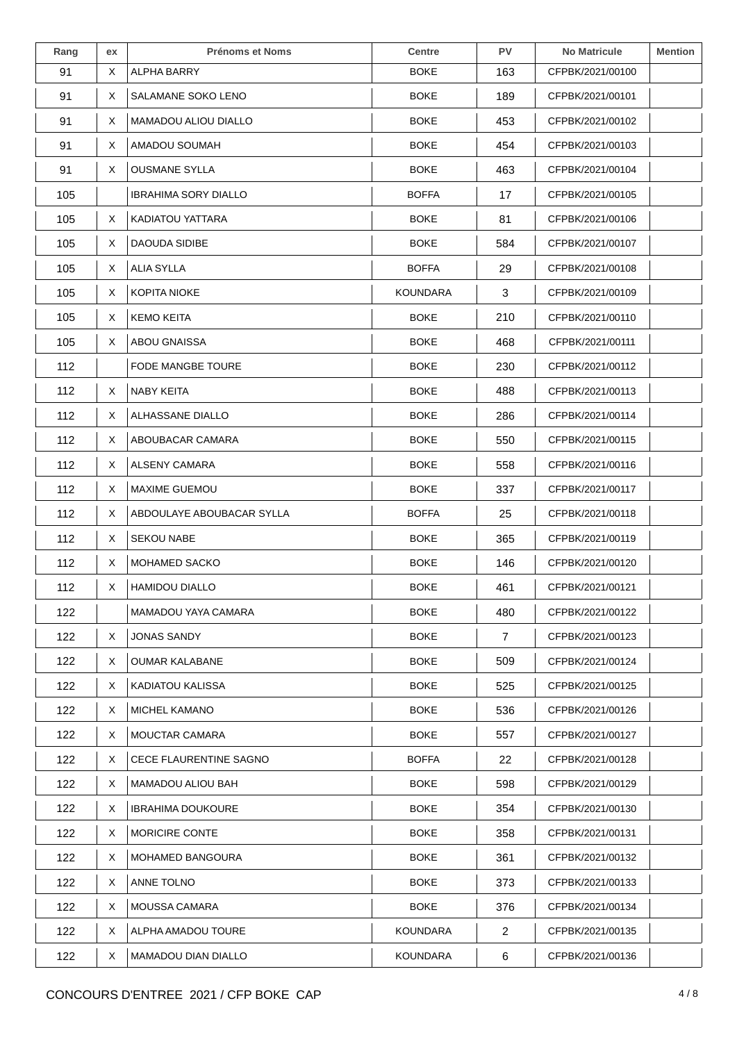| Rang | ex | <b>Prénoms et Noms</b>        | <b>Centre</b>   | <b>PV</b> | <b>No Matricule</b> | <b>Mention</b> |
|------|----|-------------------------------|-----------------|-----------|---------------------|----------------|
| 91   | X  | ALPHA BARRY                   | <b>BOKE</b>     | 163       | CFPBK/2021/00100    |                |
| 91   | X  | SALAMANE SOKO LENO            | <b>BOKE</b>     | 189       | CFPBK/2021/00101    |                |
| 91   | X  | MAMADOU ALIOU DIALLO          | <b>BOKE</b>     | 453       | CFPBK/2021/00102    |                |
| 91   | X  | AMADOU SOUMAH                 | <b>BOKE</b>     | 454       | CFPBK/2021/00103    |                |
| 91   | X  | <b>OUSMANE SYLLA</b>          | <b>BOKE</b>     | 463       | CFPBK/2021/00104    |                |
| 105  |    | <b>IBRAHIMA SORY DIALLO</b>   | <b>BOFFA</b>    | 17        | CFPBK/2021/00105    |                |
| 105  | X  | <b>KADIATOU YATTARA</b>       | <b>BOKE</b>     | 81        | CFPBK/2021/00106    |                |
| 105  | X  | DAOUDA SIDIBE                 | <b>BOKE</b>     | 584       | CFPBK/2021/00107    |                |
| 105  | X  | ALIA SYLLA                    | <b>BOFFA</b>    | 29        | CFPBK/2021/00108    |                |
| 105  | X  | <b>KOPITA NIOKE</b>           | <b>KOUNDARA</b> | 3         | CFPBK/2021/00109    |                |
| 105  | Χ  | <b>KEMO KEITA</b>             | <b>BOKE</b>     | 210       | CFPBK/2021/00110    |                |
| 105  | X  | ABOU GNAISSA                  | <b>BOKE</b>     | 468       | CFPBK/2021/00111    |                |
| 112  |    | FODE MANGBE TOURE             | <b>BOKE</b>     | 230       | CFPBK/2021/00112    |                |
| 112  | X  | <b>NABY KEITA</b>             | <b>BOKE</b>     | 488       | CFPBK/2021/00113    |                |
| 112  | X  | ALHASSANE DIALLO              | <b>BOKE</b>     | 286       | CFPBK/2021/00114    |                |
| 112  | Χ  | ABOUBACAR CAMARA              | <b>BOKE</b>     | 550       | CFPBK/2021/00115    |                |
| 112  | X  | ALSENY CAMARA                 | <b>BOKE</b>     | 558       | CFPBK/2021/00116    |                |
| 112  | X  | <b>MAXIME GUEMOU</b>          | <b>BOKE</b>     | 337       | CFPBK/2021/00117    |                |
| 112  | Χ  | ABDOULAYE ABOUBACAR SYLLA     | <b>BOFFA</b>    | 25        | CFPBK/2021/00118    |                |
| 112  | X  | <b>SEKOU NABE</b>             | <b>BOKE</b>     | 365       | CFPBK/2021/00119    |                |
| 112  | X  | MOHAMED SACKO                 | <b>BOKE</b>     | 146       | CFPBK/2021/00120    |                |
| 112  | X  | <b>HAMIDOU DIALLO</b>         | <b>BOKE</b>     | 461       | CFPBK/2021/00121    |                |
| 122  |    | MAMADOU YAYA CAMARA           | <b>BOKE</b>     | 480       | CFPBK/2021/00122    |                |
| 122  | X  | <b>JONAS SANDY</b>            | <b>BOKE</b>     | 7         | CFPBK/2021/00123    |                |
| 122  | X  | <b>OUMAR KALABANE</b>         | <b>BOKE</b>     | 509       | CFPBK/2021/00124    |                |
| 122  | X  | KADIATOU KALISSA              | <b>BOKE</b>     | 525       | CFPBK/2021/00125    |                |
| 122  | X  | <b>MICHEL KAMANO</b>          | <b>BOKE</b>     | 536       | CFPBK/2021/00126    |                |
| 122  | X. | <b>MOUCTAR CAMARA</b>         | <b>BOKE</b>     | 557       | CFPBK/2021/00127    |                |
| 122  | X  | <b>CECE FLAURENTINE SAGNO</b> | <b>BOFFA</b>    | 22        | CFPBK/2021/00128    |                |
| 122  | X  | MAMADOU ALIOU BAH             | <b>BOKE</b>     | 598       | CFPBK/2021/00129    |                |
| 122  | X. | <b>IBRAHIMA DOUKOURE</b>      | <b>BOKE</b>     | 354       | CFPBK/2021/00130    |                |
| 122  | X  | MORICIRE CONTE                | <b>BOKE</b>     | 358       | CFPBK/2021/00131    |                |
| 122  | X  | MOHAMED BANGOURA              | <b>BOKE</b>     | 361       | CFPBK/2021/00132    |                |
| 122  | X. | ANNE TOLNO                    | <b>BOKE</b>     | 373       | CFPBK/2021/00133    |                |
| 122  | X  | <b>MOUSSA CAMARA</b>          | <b>BOKE</b>     | 376       | CFPBK/2021/00134    |                |
| 122  | X  | ALPHA AMADOU TOURE            | KOUNDARA        | 2         | CFPBK/2021/00135    |                |
| 122  | X  | MAMADOU DIAN DIALLO           | <b>KOUNDARA</b> | 6         | CFPBK/2021/00136    |                |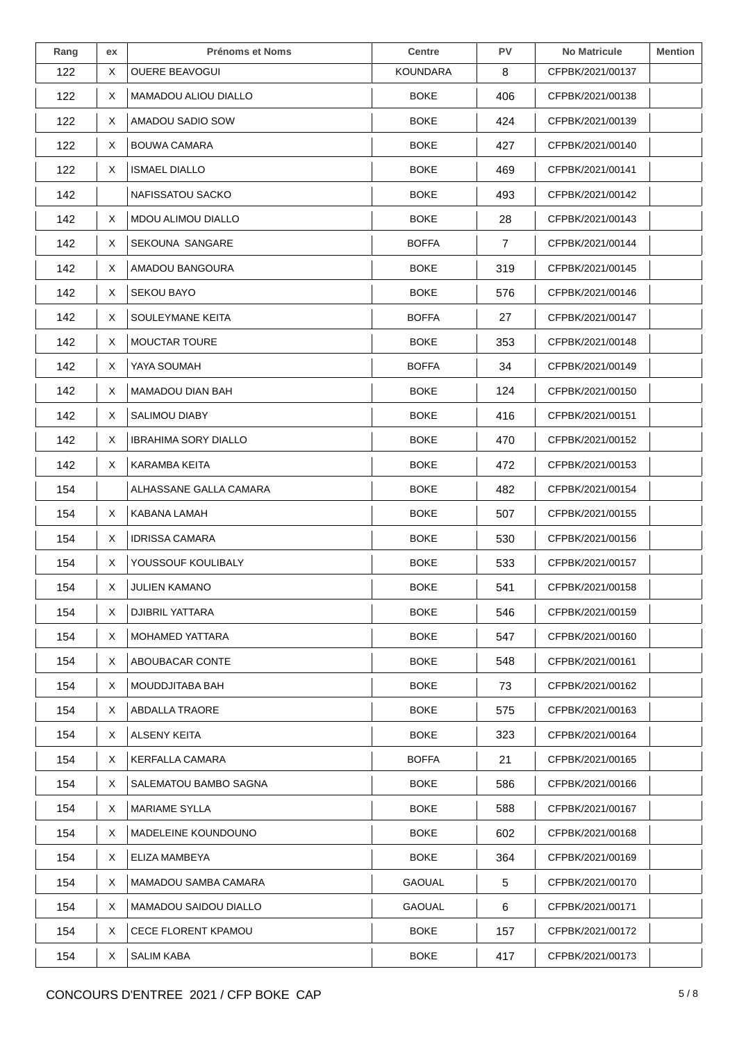| Rang | ex | <b>Prénoms et Noms</b>      | <b>Centre</b>   | <b>PV</b>      | <b>No Matricule</b> | <b>Mention</b> |
|------|----|-----------------------------|-----------------|----------------|---------------------|----------------|
| 122  | X  | <b>OUERE BEAVOGUI</b>       | <b>KOUNDARA</b> | 8              | CFPBK/2021/00137    |                |
| 122  | X. | <b>MAMADOU ALIOU DIALLO</b> | <b>BOKE</b>     | 406            | CFPBK/2021/00138    |                |
| 122  | X  | AMADOU SADIO SOW            | <b>BOKE</b>     | 424            | CFPBK/2021/00139    |                |
| 122  | X. | BOUWA CAMARA                | <b>BOKE</b>     | 427            | CFPBK/2021/00140    |                |
| 122  | X. | <b>ISMAEL DIALLO</b>        | <b>BOKE</b>     | 469            | CFPBK/2021/00141    |                |
| 142  |    | NAFISSATOU SACKO            | <b>BOKE</b>     | 493            | CFPBK/2021/00142    |                |
| 142  | X  | MDOU ALIMOU DIALLO          | <b>BOKE</b>     | 28             | CFPBK/2021/00143    |                |
| 142  | X. | SEKOUNA SANGARE             | <b>BOFFA</b>    | $\overline{7}$ | CFPBK/2021/00144    |                |
| 142  | X. | AMADOU BANGOURA             | <b>BOKE</b>     | 319            | CFPBK/2021/00145    |                |
| 142  | X. | <b>SEKOU BAYO</b>           | <b>BOKE</b>     | 576            | CFPBK/2021/00146    |                |
| 142  | X. | SOULEYMANE KEITA            | <b>BOFFA</b>    | 27             | CFPBK/2021/00147    |                |
| 142  | X. | <b>MOUCTAR TOURE</b>        | <b>BOKE</b>     | 353            | CFPBK/2021/00148    |                |
| 142  | X. | YAYA SOUMAH                 | <b>BOFFA</b>    | 34             | CFPBK/2021/00149    |                |
| 142  | X. | MAMADOU DIAN BAH            | <b>BOKE</b>     | 124            | CFPBK/2021/00150    |                |
| 142  | X. | SALIMOU DIABY               | <b>BOKE</b>     | 416            | CFPBK/2021/00151    |                |
| 142  | X  | <b>IBRAHIMA SORY DIALLO</b> | <b>BOKE</b>     | 470            | CFPBK/2021/00152    |                |
| 142  | X. | KARAMBA KEITA               | <b>BOKE</b>     | 472            | CFPBK/2021/00153    |                |
| 154  |    | ALHASSANE GALLA CAMARA      | <b>BOKE</b>     | 482            | CFPBK/2021/00154    |                |
| 154  | X. | KABANA LAMAH                | <b>BOKE</b>     | 507            | CFPBK/2021/00155    |                |
| 154  | X. | <b>IDRISSA CAMARA</b>       | <b>BOKE</b>     | 530            | CFPBK/2021/00156    |                |
| 154  | X. | YOUSSOUF KOULIBALY          | <b>BOKE</b>     | 533            | CFPBK/2021/00157    |                |
| 154  | X  | <b>JULIEN KAMANO</b>        | <b>BOKE</b>     | 541            | CFPBK/2021/00158    |                |
| 154  | X. | DJIBRIL YATTARA             | <b>BOKE</b>     | 546            | CFPBK/2021/00159    |                |
| 154  | X. | MOHAMED YATTARA             | <b>BOKE</b>     | 547            | CFPBK/2021/00160    |                |
| 154  | X. | ABOUBACAR CONTE             | <b>BOKE</b>     | 548            | CFPBK/2021/00161    |                |
| 154  | X. | MOUDDJITABA BAH             | <b>BOKE</b>     | 73             | CFPBK/2021/00162    |                |
| 154  | X. | ABDALLA TRAORE              | <b>BOKE</b>     | 575            | CFPBK/2021/00163    |                |
| 154  | X. | ALSENY KEITA                | <b>BOKE</b>     | 323            | CFPBK/2021/00164    |                |
| 154  | X. | <b>KERFALLA CAMARA</b>      | <b>BOFFA</b>    | 21             | CFPBK/2021/00165    |                |
| 154  | X. | SALEMATOU BAMBO SAGNA       | <b>BOKE</b>     | 586            | CFPBK/2021/00166    |                |
| 154  | X. | <b>MARIAME SYLLA</b>        | <b>BOKE</b>     | 588            | CFPBK/2021/00167    |                |
| 154  | X. | MADELEINE KOUNDOUNO         | <b>BOKE</b>     | 602            | CFPBK/2021/00168    |                |
| 154  | X. | ELIZA MAMBEYA               | <b>BOKE</b>     | 364            | CFPBK/2021/00169    |                |
| 154  | X. | MAMADOU SAMBA CAMARA        | <b>GAOUAL</b>   | 5              | CFPBK/2021/00170    |                |
| 154  | X. | MAMADOU SAIDOU DIALLO       | <b>GAOUAL</b>   | 6              | CFPBK/2021/00171    |                |
| 154  | X. | CECE FLORENT KPAMOU         | <b>BOKE</b>     | 157            | CFPBK/2021/00172    |                |
| 154  | X. | <b>SALIM KABA</b>           | <b>BOKE</b>     | 417            | CFPBK/2021/00173    |                |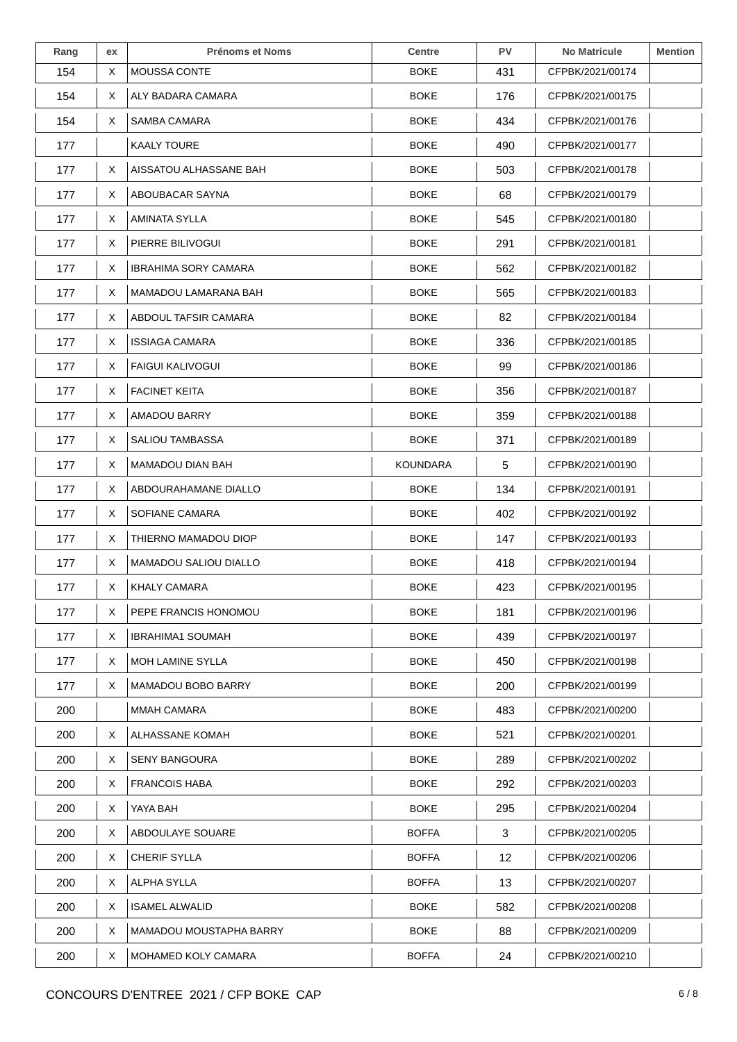| Rang | ex | <b>Prénoms et Noms</b>      | <b>Centre</b>   | <b>PV</b> | <b>No Matricule</b> | <b>Mention</b> |
|------|----|-----------------------------|-----------------|-----------|---------------------|----------------|
| 154  | X  | MOUSSA CONTE                | <b>BOKE</b>     | 431       | CFPBK/2021/00174    |                |
| 154  | X  | ALY BADARA CAMARA           | <b>BOKE</b>     | 176       | CFPBK/2021/00175    |                |
| 154  | X  | SAMBA CAMARA                | <b>BOKE</b>     | 434       | CFPBK/2021/00176    |                |
| 177  |    | KAALY TOURE                 | <b>BOKE</b>     | 490       | CFPBK/2021/00177    |                |
| 177  | X  | AISSATOU ALHASSANE BAH      | <b>BOKE</b>     | 503       | CFPBK/2021/00178    |                |
| 177  | X  | ABOUBACAR SAYNA             | <b>BOKE</b>     | 68        | CFPBK/2021/00179    |                |
| 177  | X  | AMINATA SYLLA               | <b>BOKE</b>     | 545       | CFPBK/2021/00180    |                |
| 177  | X  | PIERRE BILIVOGUI            | <b>BOKE</b>     | 291       | CFPBK/2021/00181    |                |
| 177  | X  | <b>IBRAHIMA SORY CAMARA</b> | <b>BOKE</b>     | 562       | CFPBK/2021/00182    |                |
| 177  | X  | MAMADOU LAMARANA BAH        | <b>BOKE</b>     | 565       | CFPBK/2021/00183    |                |
| 177  | X  | ABDOUL TAFSIR CAMARA        | <b>BOKE</b>     | 82        | CFPBK/2021/00184    |                |
| 177  | X  | <b>ISSIAGA CAMARA</b>       | <b>BOKE</b>     | 336       | CFPBK/2021/00185    |                |
| 177  | X  | <b>FAIGUI KALIVOGUI</b>     | <b>BOKE</b>     | 99        | CFPBK/2021/00186    |                |
| 177  | X  | <b>FACINET KEITA</b>        | <b>BOKE</b>     | 356       | CFPBK/2021/00187    |                |
| 177  | X  | AMADOU BARRY                | <b>BOKE</b>     | 359       | CFPBK/2021/00188    |                |
| 177  | X  | SALIOU TAMBASSA             | <b>BOKE</b>     | 371       | CFPBK/2021/00189    |                |
| 177  | X  | MAMADOU DIAN BAH            | <b>KOUNDARA</b> | 5         | CFPBK/2021/00190    |                |
| 177  | X  | ABDOURAHAMANE DIALLO        | <b>BOKE</b>     | 134       | CFPBK/2021/00191    |                |
| 177  | Χ  | SOFIANE CAMARA              | <b>BOKE</b>     | 402       | CFPBK/2021/00192    |                |
| 177  | X  | THIERNO MAMADOU DIOP        | <b>BOKE</b>     | 147       | CFPBK/2021/00193    |                |
| 177  | X  | MAMADOU SALIOU DIALLO       | <b>BOKE</b>     | 418       | CFPBK/2021/00194    |                |
| 177  | Χ  | <b>KHALY CAMARA</b>         | <b>BOKE</b>     | 423       | CFPBK/2021/00195    |                |
| 177  | X. | PEPE FRANCIS HONOMOU        | <b>BOKE</b>     | 181       | CFPBK/2021/00196    |                |
| 177  | X  | <b>IBRAHIMA1 SOUMAH</b>     | <b>BOKE</b>     | 439       | CFPBK/2021/00197    |                |
| 177  | X  | <b>MOH LAMINE SYLLA</b>     | <b>BOKE</b>     | 450       | CFPBK/2021/00198    |                |
| 177  | X  | MAMADOU BOBO BARRY          | <b>BOKE</b>     | 200       | CFPBK/2021/00199    |                |
| 200  |    | MMAH CAMARA                 | <b>BOKE</b>     | 483       | CFPBK/2021/00200    |                |
| 200  | X  | ALHASSANE KOMAH             | <b>BOKE</b>     | 521       | CFPBK/2021/00201    |                |
| 200  | X  | <b>SENY BANGOURA</b>        | <b>BOKE</b>     | 289       | CFPBK/2021/00202    |                |
| 200  | X  | <b>FRANCOIS HABA</b>        | <b>BOKE</b>     | 292       | CFPBK/2021/00203    |                |
| 200  | X  | YAYA BAH                    | <b>BOKE</b>     | 295       | CFPBK/2021/00204    |                |
| 200  | X  | ABDOULAYE SOUARE            | <b>BOFFA</b>    | 3         | CFPBK/2021/00205    |                |
| 200  | X  | <b>CHERIF SYLLA</b>         | <b>BOFFA</b>    | 12        | CFPBK/2021/00206    |                |
| 200  | X. | ALPHA SYLLA                 | <b>BOFFA</b>    | 13        | CFPBK/2021/00207    |                |
| 200  | X  | <b>ISAMEL ALWALID</b>       | <b>BOKE</b>     | 582       | CFPBK/2021/00208    |                |
| 200  | X  | MAMADOU MOUSTAPHA BARRY     | <b>BOKE</b>     | 88        | CFPBK/2021/00209    |                |
| 200  | X  | MOHAMED KOLY CAMARA         | <b>BOFFA</b>    | 24        | CFPBK/2021/00210    |                |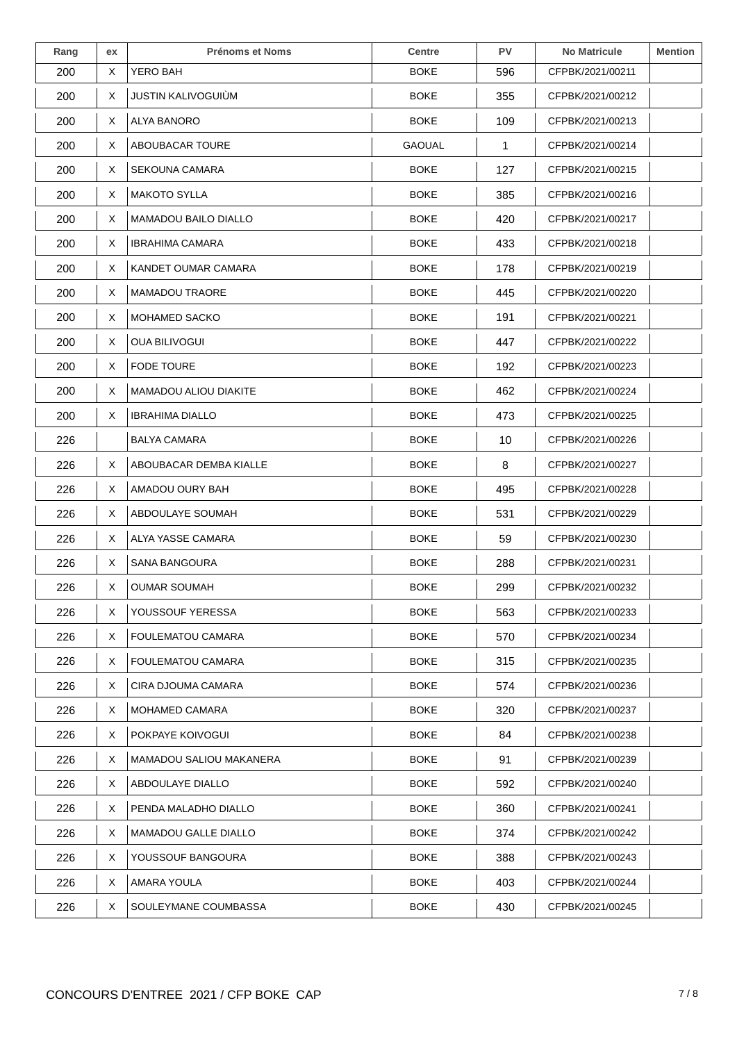| Rang | ex | <b>Prénoms et Noms</b>         | <b>Centre</b> | <b>PV</b>    | <b>No Matricule</b> | <b>Mention</b> |
|------|----|--------------------------------|---------------|--------------|---------------------|----------------|
| 200  | X  | YERO BAH                       | <b>BOKE</b>   | 596          | CFPBK/2021/00211    |                |
| 200  | X. | <b>JUSTIN KALIVOGUIÙM</b>      | <b>BOKE</b>   | 355          | CFPBK/2021/00212    |                |
| 200  | X. | ALYA BANORO                    | <b>BOKE</b>   | 109          | CFPBK/2021/00213    |                |
| 200  | X. | ABOUBACAR TOURE                | <b>GAOUAL</b> | $\mathbf{1}$ | CFPBK/2021/00214    |                |
| 200  | X  | SEKOUNA CAMARA                 | <b>BOKE</b>   | 127          | CFPBK/2021/00215    |                |
| 200  | X  | <b>MAKOTO SYLLA</b>            | <b>BOKE</b>   | 385          | CFPBK/2021/00216    |                |
| 200  | X. | <b>MAMADOU BAILO DIALLO</b>    | <b>BOKE</b>   | 420          | CFPBK/2021/00217    |                |
| 200  | X  | <b>IBRAHIMA CAMARA</b>         | <b>BOKE</b>   | 433          | CFPBK/2021/00218    |                |
| 200  | X  | KANDET OUMAR CAMARA            | <b>BOKE</b>   | 178          | CFPBK/2021/00219    |                |
| 200  | X. | <b>MAMADOU TRAORE</b>          | <b>BOKE</b>   | 445          | CFPBK/2021/00220    |                |
| 200  | X  | MOHAMED SACKO                  | <b>BOKE</b>   | 191          | CFPBK/2021/00221    |                |
| 200  | X  | <b>OUA BILIVOGUI</b>           | <b>BOKE</b>   | 447          | CFPBK/2021/00222    |                |
| 200  | X  | <b>FODE TOURE</b>              | <b>BOKE</b>   | 192          | CFPBK/2021/00223    |                |
| 200  | X. | <b>MAMADOU ALIOU DIAKITE</b>   | <b>BOKE</b>   | 462          | CFPBK/2021/00224    |                |
| 200  | X. | <b>IBRAHIMA DIALLO</b>         | <b>BOKE</b>   | 473          | CFPBK/2021/00225    |                |
| 226  |    | <b>BALYA CAMARA</b>            | <b>BOKE</b>   | 10           | CFPBK/2021/00226    |                |
| 226  | X. | ABOUBACAR DEMBA KIALLE         | <b>BOKE</b>   | 8            | CFPBK/2021/00227    |                |
| 226  | X. | AMADOU OURY BAH                | <b>BOKE</b>   | 495          | CFPBK/2021/00228    |                |
| 226  | X. | ABDOULAYE SOUMAH               | <b>BOKE</b>   | 531          | CFPBK/2021/00229    |                |
| 226  | X. | ALYA YASSE CAMARA              | <b>BOKE</b>   | 59           | CFPBK/2021/00230    |                |
| 226  | X. | SANA BANGOURA                  | <b>BOKE</b>   | 288          | CFPBK/2021/00231    |                |
| 226  | X  | <b>OUMAR SOUMAH</b>            | <b>BOKE</b>   | 299          | CFPBK/2021/00232    |                |
| 226  | X  | YOUSSOUF YERESSA               | <b>BOKE</b>   | 563          | CFPBK/2021/00233    |                |
| 226  | X. | FOULEMATOU CAMARA              | <b>BOKE</b>   | 570          | CFPBK/2021/00234    |                |
| 226  | X  | FOULEMATOU CAMARA              | <b>BOKE</b>   | 315          | CFPBK/2021/00235    |                |
| 226  | X. | CIRA DJOUMA CAMARA             | <b>BOKE</b>   | 574          | CFPBK/2021/00236    |                |
| 226  | X. | MOHAMED CAMARA                 | <b>BOKE</b>   | 320          | CFPBK/2021/00237    |                |
| 226  | X. | POKPAYE KOIVOGUI               | <b>BOKE</b>   | 84           | CFPBK/2021/00238    |                |
| 226  | X. | <b>MAMADOU SALIOU MAKANERA</b> | <b>BOKE</b>   | 91           | CFPBK/2021/00239    |                |
| 226  | X. | ABDOULAYE DIALLO               | <b>BOKE</b>   | 592          | CFPBK/2021/00240    |                |
| 226  | X. | PENDA MALADHO DIALLO           | <b>BOKE</b>   | 360          | CFPBK/2021/00241    |                |
| 226  | X. | <b>MAMADOU GALLE DIALLO</b>    | <b>BOKE</b>   | 374          | CFPBK/2021/00242    |                |
| 226  | X. | YOUSSOUF BANGOURA              | <b>BOKE</b>   | 388          | CFPBK/2021/00243    |                |
| 226  | X. | AMARA YOULA                    | <b>BOKE</b>   | 403          | CFPBK/2021/00244    |                |
| 226  | X  | SOULEYMANE COUMBASSA           | <b>BOKE</b>   | 430          | CFPBK/2021/00245    |                |
|      |    |                                |               |              |                     |                |